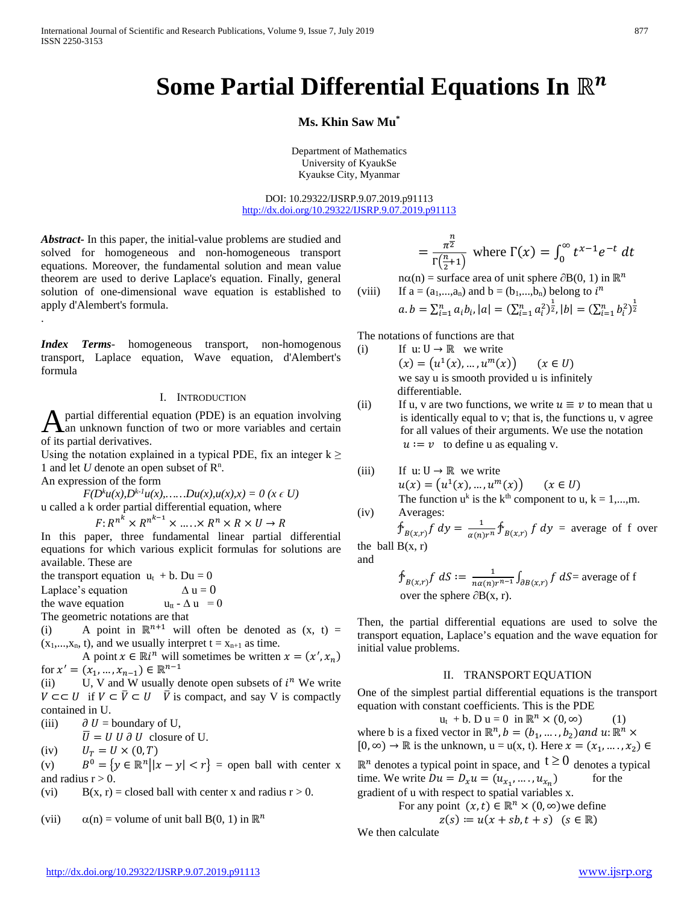# **Some Partial Differential Equations In** ℝ

# **Ms. Khin Saw Mu\***

Department of Mathematics University of KyaukSe Kyaukse City, Myanmar

DOI: 10.29322/IJSRP.9.07.2019.p91113 <http://dx.doi.org/10.29322/IJSRP.9.07.2019.p91113>

*Abstract***-** In this paper, the initial-value problems are studied and solved for homogeneous and non-homogeneous transport equations. Moreover, the fundamental solution and mean value theorem are used to derive Laplace's equation. Finally, general solution of one-dimensional wave equation is established to apply d'Alembert's formula.

*Index Terms*- homogeneous transport, non-homogenous transport, Laplace equation, Wave equation, d'Alembert's formula

# I. INTRODUCTION

partial differential equation (PDE) is an equation involving A partial differential equation (PDE) is an equation involving<br>an unknown function of two or more variables and certain of its partial derivatives.

Using the notation explained in a typical PDE, fix an integer  $k \ge$ 1 and let  $U$  denote an open subset of  $\mathbb{R}^n$ .

An expression of the form

.

 $F(D^k u(x), D^{k-1} u(x), \ldots, Du(x), u(x),x) = 0 \ (x \in U)$ u called a k order partial differential equation, where

 $F: R^{n^k} \times R^{n^{k-1}} \times \ldots \times R^n \times R \times U \to R$ 

In this paper, three fundamental linear partial differential equations for which various explicit formulas for solutions are available. These are

the transport equation  $u_t + b$ . Du = 0

Laplace's equation  $\Delta u = 0$ 

the wave equation  $u_{tt} - \Delta u = 0$ 

The geometric notations are that

(i) A point in  $\mathbb{R}^{n+1}$  will often be denoted as  $(x, t)$  =  $(x_1,...,x_n, t)$ , and we usually interpret  $t = x_{n+1}$  as time.

A point  $x \in \mathbb{R}^n$  will sometimes be written  $x = (x', x_n)$ for  $x' = (x_1, ..., x_{n-1}) \in \mathbb{R}^{n-1}$ <br>(ii) U. V and W usually d

(ii) U, V and W usually denote open subsets of  $i^n$  We write  $V \subset\subset U$  if  $V \subset \overline{V} \subset U$   $\overline{V}$  is compact, and say V is compactly contained in U.

(iii)  $\partial U =$  boundary of U,

 $\overline{U} = U U \partial U$  closure of U.

(iv)  $U_T = U \times (0, T)$ <br>
(v)  $B^0 = \{ y \in \mathbb{R}^n | |x| \}$ 

 $B^0 = \{y \in \mathbb{R}^n | |x - y| < r\}$  = open ball with center x and radius  $r > 0$ .

(vi)  $B(x, r) = closed ball with center x and radius r > 0.$ 

(vii)  $\alpha(n) =$  volume of unit ball B(0, 1) in  $\mathbb{R}^n$ 

$$
= \frac{\pi^{\frac{n}{2}}}{\Gamma(\frac{n}{2}+1)}
$$
 where  $\Gamma(x) = \int_0^\infty t^{x-1} e^{-t} dt$ 

 $n\alpha(n)$  = surface area of unit sphere  $\partial B(0, 1)$  in  $\mathbb{R}^n$ 

(viii) If 
$$
a = (a_1,...,a_n)
$$
 and  $b = (b_1,...,b_n)$  belong to  $i^n$ 

$$
a.b = \sum_{i=1}^{n} a_i b_i, |a| = (\sum_{i=1}^{n} a_i^2)^{\frac{1}{2}}, |b| = (\sum_{i=1}^{n} b_i^2)^{\frac{1}{2}}
$$

The notations of functions are that

(i) If u:  $U \rightarrow \mathbb{R}$  we write  $(x) = (u^1(x), ..., u^m(x))$   $(x \in U)$ we say u is smooth provided u is infinitely differentiable.

(ii) If u, v are two functions, we write  $u \equiv v$  to mean that u is identically equal to v; that is, the functions u, v agree for all values of their arguments. We use the notation  $u := v$  to define u as equaling v.

(iii) If 
$$
u: U \to \mathbb{R}
$$
 we write  
\n
$$
u(x) = (u^1(x), ..., u^m(x)) \qquad (x \in U)
$$
\nThe function  $u^k$  is the  $k^{\text{th}}$  component to  $u, k = 1, ..., m$ .

(iv) Averages:  
\n
$$
\oint_{B(x,r)} f \, dy = \frac{1}{\alpha(n)r^n} \oint_{B(x,r)} f \, dy = \text{average of f over}
$$

the ball  $B(x, r)$ and

$$
\oint_{B(x,r)} f \, dS := \frac{1}{n\alpha(n)r^{n-1}} \int_{\partial B(x,r)} f \, dS = \text{average of f}
$$
\nover the sphere  $\partial B(x, r)$ .

Then, the partial differential equations are used to solve the transport equation, Laplace's equation and the wave equation for initial value problems.

# II. TRANSPORT EQUATION

One of the simplest partial differential equations is the transport equation with constant coefficients. This is the PDE

 $u_t + b$ . D  $u = 0$  in  $\mathbb{R}^n \times (0, \infty)$  (1) where b is a fixed vector in  $\mathbb{R}^n$ ,  $b = (b_1, \dots, b_2)$  and  $u: \mathbb{R}^n \times$  $[0, \infty) \to \mathbb{R}$  is the unknown,  $u = u(x, t)$ . Here  $x = (x_1, \dots, x_2) \in$ 

 $\mathbb{R}^n$  denotes a typical point in space, and  $t \ge 0$  denotes a typical time. We write  $Du = D_x u = (u_{x_1}, \dots, u_{x_n})$  for the time. We write  $Du = D_x u = (u_{x_1}, \dots, u_{x_n})$ gradient of u with respect to spatial variables x.

For any point 
$$
(x, t) \in \mathbb{R}^n \times (0, \infty)
$$
 we define

$$
z(s) := u(x + sb, t + s) \ (s \in \mathbb{R})
$$

We then calculate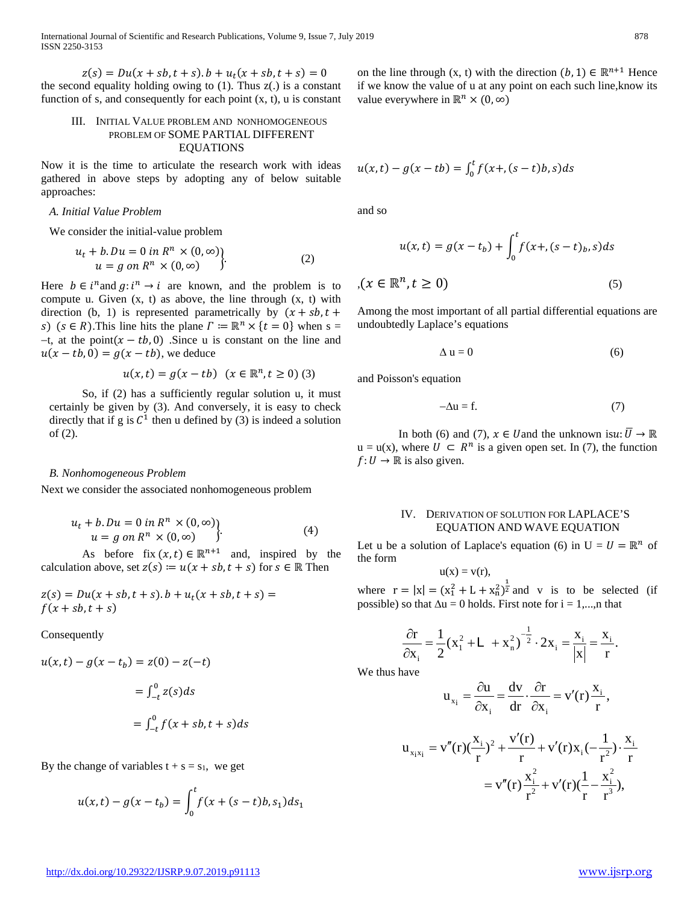$z(s) = Du(x + sb, t + s) \cdot b + u_t(x + sb, t + s) = 0$ the second equality holding owing to  $(1)$ . Thus  $z(.)$  is a constant function of s, and consequently for each point  $(x, t)$ , u is constant

# III. INITIAL VALUE PROBLEM AND NONHOMOGENEOUS PROBLEM OF SOME PARTIAL DIFFERENT EQUATIONS

Now it is the time to articulate the research work with ideas gathered in above steps by adopting any of below suitable approaches:

# *A. Initial Value Problem*

We consider the initial-value problem

$$
u_t + b \cdot Du = 0 \text{ in } R^n \times (0, \infty)
$$
  

$$
u = g \text{ on } R^n \times (0, \infty)
$$
 (2)

Here  $b \in i^n$  and  $g: i^n \to i$  are known, and the problem is to compute u. Given  $(x, t)$  as above, the line through  $(x, t)$  with direction (b, 1) is represented parametrically by  $(x + sb, t +$ s) ( $s \in R$ ). This line hits the plane  $\Gamma := \mathbb{R}^n \times \{t = 0\}$  when  $s =$  $-t$ , at the point $(x - tb, 0)$ . Since u is constant on the line and  $u(x - tb, 0) = g(x - tb)$ , we deduce

$$
u(x,t) = g(x - tb) \ (x \in \mathbb{R}^n, t \ge 0) \tag{3}
$$

So, if (2) has a sufficiently regular solution u, it must certainly be given by (3). And conversely, it is easy to check directly that if g is  $C^1$  then u defined by (3) is indeed a solution of (2).

### *B. Nonhomogeneous Problem*

Next we consider the associated nonhomogeneous problem

$$
u_t + b \cdot Du = 0 \text{ in } R^n \times (0, \infty)
$$
  
 
$$
u = g \text{ on } R^n \times (0, \infty)
$$
 (4)

As before fix  $(x,t) \in \mathbb{R}^{n+1}$  and, inspired by the calculation above, set  $z(s) := u(x + sb, t + s)$  for  $s \in \mathbb{R}$  Then

$$
z(s) = Du(x + sb, t + s).b + u_t(x + sb, t + s) = f(x + sb, t + s)
$$

Consequently

$$
u(x,t) - g(x - t_b) = z(0) - z(-t)
$$

$$
= \int_{-t}^{0} z(s)ds
$$

$$
= \int_{-t}^{0} f(x + sb, t + s)ds
$$

By the change of variables  $t + s = s_1$ , we get

$$
u(x,t) - g(x - t_b) = \int_0^t f(x + (s - t)b, s_1) ds_1
$$

on the line through (x, t) with the direction  $(b, 1) \in \mathbb{R}^{n+1}$  Hence if we know the value of u at any point on each such line,know its value everywhere in  $\mathbb{R}^n \times (0, \infty)$ 

$$
u(x,t) - g(x - tb) = \int_0^t f(x + (s - t)b, s)ds
$$

and so

$$
u(x,t) = g(x - t_b) + \int_0^t f(x + (s - t)_b, s)ds
$$
  

$$
f(x \in \mathbb{R}^n, t \ge 0)
$$
 (5)

Among the most important of all partial differential equations are undoubtedly Laplace's equations

$$
\Delta u = 0 \tag{6}
$$

and Poisson's equation

$$
-\Delta u = f. \tag{7}
$$

In both (6) and (7),  $x \in U$  and the unknown is $u: \overline{U} \to \mathbb{R}$  $u = u(x)$ , where  $U \subset R^n$  is a given open set. In (7), the function  $f: U \to \mathbb{R}$  is also given.

# IV. DERIVATION OF SOLUTION FOR LAPLACE'S EQUATION AND WAVE EQUATION

Let u be a solution of Laplace's equation (6) in  $U = U = \mathbb{R}^n$  of the form

$$
u(x) = v(r),
$$

where  $r = |x| = (x_1^2 + L + x_1^2)^{\frac{1}{2}}$  and v is to be selected (if possible) so that  $\Delta u = 0$  holds. First note for  $i = 1,...,n$  that

$$
\frac{\partial \mathbf{r}}{\partial \mathbf{x}_{i}} = \frac{1}{2} (\mathbf{x}_{1}^{2} + \mathbf{L} + \mathbf{x}_{n}^{2})^{-\frac{1}{2}} \cdot 2\mathbf{x}_{i} = \frac{\mathbf{x}_{i}}{|\mathbf{x}|} = \frac{\mathbf{x}_{i}}{\mathbf{r}}.
$$

We thus have

$$
\mathbf{u}_{x_i} = \frac{\partial \mathbf{u}}{\partial x_i} = \frac{\mathrm{d}\mathbf{v}}{\mathrm{d}\mathbf{r}} \cdot \frac{\partial \mathbf{r}}{\partial x_i} = \mathbf{v}'(\mathbf{r}) \frac{\mathbf{x}_i}{\mathbf{r}},
$$

$$
u_{x_ix_i} = v''(r)(\frac{x_i}{r})^2 + \frac{v'(r)}{r} + v'(r)x_i(-\frac{1}{r^2}) \cdot \frac{x_i}{r}
$$
  
=  $v''(r)\frac{x_i^2}{r^2} + v'(r)(\frac{1}{r} - \frac{x_i^2}{r^3}),$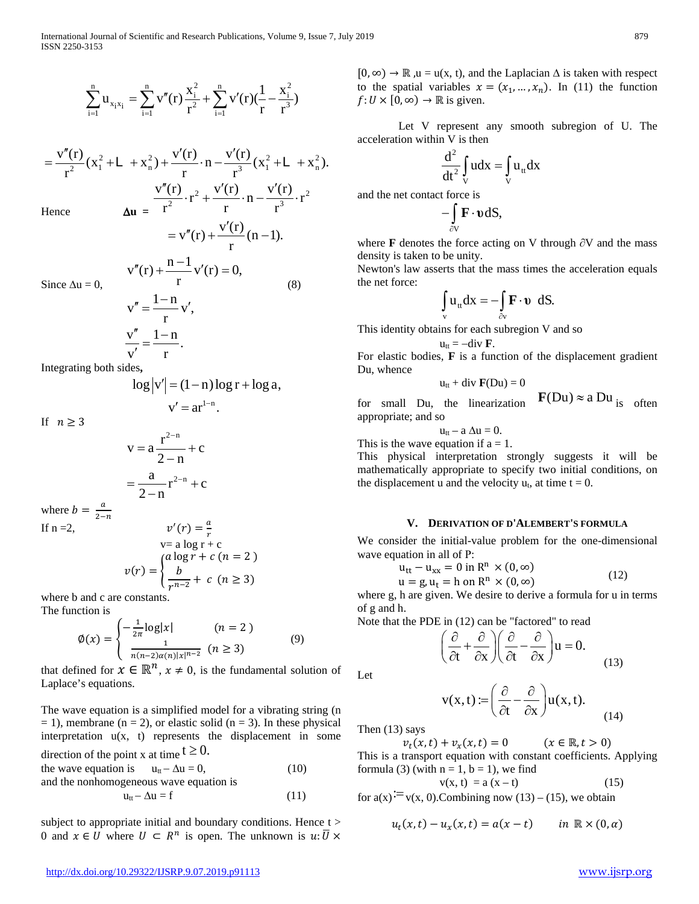$$
\sum_{i=1}^{n} u_{x_i x_i} = \sum_{i=1}^{n} v''(r) \frac{x_i^2}{r^2} + \sum_{i=1}^{n} v'(r) (\frac{1}{r} - \frac{x_i^2}{r^3})
$$

Hence  $\Delta u =$ 2  $\mu$   $\mathbf{v}^2$   $\mathbf{v}^2$   $\mathbf{v}^2$   $\mathbf{v}$   $\mathbf{v}$   $\mathbf{v}$   $\mathbf{v}$   $\mathbf{v}$   $\mathbf{v}^2$   $\mathbf{v}^2$   $\mathbf{v}^2$  $\frac{v''(r)}{r^2}(x_1^2 + L + x_n^2) + \frac{v'(r)}{r} \cdot n - \frac{v'(r)}{r^3}(x_1^2 + L + x_n^2).$  $r^2$  r r  $=\frac{v''(r)}{2}(x_1^2+L+x_0^2)+\frac{v'(r)}{2}\cdot n-\frac{v'(r)}{3}(x_1^2+L+$ 2  $V(1)$   $V(1)$   $\frac{2}{2}$  $\frac{v''(r)}{r^2} \cdot r^2 + \frac{v'(r)}{r} \cdot n - \frac{v'(r)}{r^3} \cdot r$  $r^2$  r r  $\frac{r'(r)}{r^2}$ .  $r^2 + \frac{v'(r)}{r}$ .  $n - \frac{v'(r)}{r^2}$ .

 $v''(r) + \frac{v'(r)}{r-1}$  (n -1). r  $= v''(r) + \frac{v'(r)}{r}$  (n –  $v''(r) + \frac{n-1}{r} v'(r) = 0,$  $''(r) + \frac{n-1}{r}v'(r) =$ 

Since 
$$
\Delta u = 0
$$
,  
\n
$$
v'' = \frac{1-n}{r} v',
$$
\n
$$
\frac{v''}{v'} = \frac{1-n}{r}.
$$
\n(8)

Integrating both sides**,**

$$
\log|v'| = (1-n)\log r + \log a,
$$

 $v' = ar^{1-n}$ .

If  $n \geq 3$ 

$$
v = a \frac{r^{2-n}}{2-n} + c
$$

$$
= \frac{a}{2-n} r^{2-n} + c
$$

where  $b = \frac{a}{2-n}$ <br>If n =2,  $v'(r) = \frac{a}{r}$ 

$$
v(t) = \frac{1}{r}
$$
  
\n
$$
v = a \log r + c
$$
  
\n
$$
v(r) = \begin{cases} a \log r + c \ (n = 2) \\ \frac{b}{r^{n-2}} + c \ (n \ge 3) \end{cases}
$$

where b and c are constants.

The function is

$$
\emptyset(x) = \begin{cases}\n-\frac{1}{2\pi} \log |x| & (n = 2) \\
\frac{1}{n(n-2)\alpha(n)|x|^{n-2}} & (n \ge 3)\n\end{cases}
$$
\n(9)

that defined for  $x \in \mathbb{R}^n$ ,  $x \neq 0$ , is the fundamental solution of Laplace's equations.

The wave equation is a simplified model for a vibrating string (n  $= 1$ ), membrane (n = 2), or elastic solid (n = 3). In these physical interpretation  $u(x, t)$  represents the displacement in some

direction of the point x at time  $t \ge 0$ . the wave equation is  $u_t - \Delta u = 0$ , (10) and the nonhomogeneous wave equation is  $u_{tt} - \Delta u = f$  (11)

subject to appropriate initial and boundary conditions. Hence t > 0 and  $x \in U$  where  $U \subset R^n$  is open. The unknown is  $u: \overline{U} \times$   $[0, \infty) \rightarrow \mathbb{R}$ ,  $u = u(x, t)$ , and the Laplacian  $\Delta$  is taken with respect to the spatial variables  $x = (x_1, ..., x_n)$ . In (11) the function  $f: U \times [0, \infty) \rightarrow \mathbb{R}$  is given.

Let V represent any smooth subregion of U. The acceleration within V is then

$$
\frac{d^2}{dt^2} \int\limits_V u dx = \int\limits_V u_{tt} dx
$$

and the net contact force is

$$
-\int\limits_{\partial V} \mathbf{F} \cdot \mathbf{v} \, \mathrm{d}S,
$$

where **F** denotes the force acting on V through ∂V and the mass density is taken to be unity.

Newton's law asserts that the mass times the acceleration equals the net force:

$$
\int_{\mathbf{v}} \mathbf{u}_{\mathbf{t}} d\mathbf{x} = -\int_{\partial \mathbf{v}} \mathbf{F} \cdot \mathbf{v} dS.
$$

This identity obtains for each subregion V and so

$$
\mathbf{u}_{tt}=-div \mathbf{F}.
$$

For elastic bodies, **F** is a function of the displacement gradient Du, whence

$$
u_{tt} + \text{div }\mathbf{F}(Du) = 0
$$

for small Du, the linearization **F**(Du)  $\approx$  a Du<sub>is</sub> often appropriate; and so

 $u_{tt}$  – a  $\Delta u = 0$ .

This is the wave equation if  $a = 1$ .

This physical interpretation strongly suggests it will be mathematically appropriate to specify two initial conditions, on the displacement u and the velocity  $u_t$ , at time  $t = 0$ .

# **V. DERIVATION OF D'ALEMBERT'S FORMULA**

We consider the initial-value problem for the one-dimensional wave equation in all of Ρ:

$$
u_{tt} - u_{xx} = 0 \text{ in } R^n \times (0, \infty)
$$
  
 
$$
u = g, u_t = h \text{ on } R^n \times (0, \infty)
$$
 (12)

where g, h are given. We desire to derive a formula for u in terms of g and h.

Note that the PDE in (12) can be "factored" to read

$$
\left(\frac{\partial}{\partial t} + \frac{\partial}{\partial x}\right) \left(\frac{\partial}{\partial t} - \frac{\partial}{\partial x}\right) u = 0.
$$
 (13)

Let

$$
v(x,t) := \left(\frac{\partial}{\partial t} - \frac{\partial}{\partial x}\right) u(x,t).
$$
 (14)

Then (13) says

 $v_t(x,t) + v_x(x,t) = 0$   $(x \in \mathbb{R}, t > 0)$ 

This is a transport equation with constant coefficients. Applying formula (3) (with  $n = 1$ ,  $b = 1$ ), we find

$$
v(x, t) = a(x - t) \tag{15}
$$

for  $a(x)$ <sup>:=</sup> v(x, 0). Combining now (13) – (15), we obtain

$$
u_t(x,t) - u_x(x,t) = a(x-t) \qquad in \ \mathbb{R} \times (0,\alpha)
$$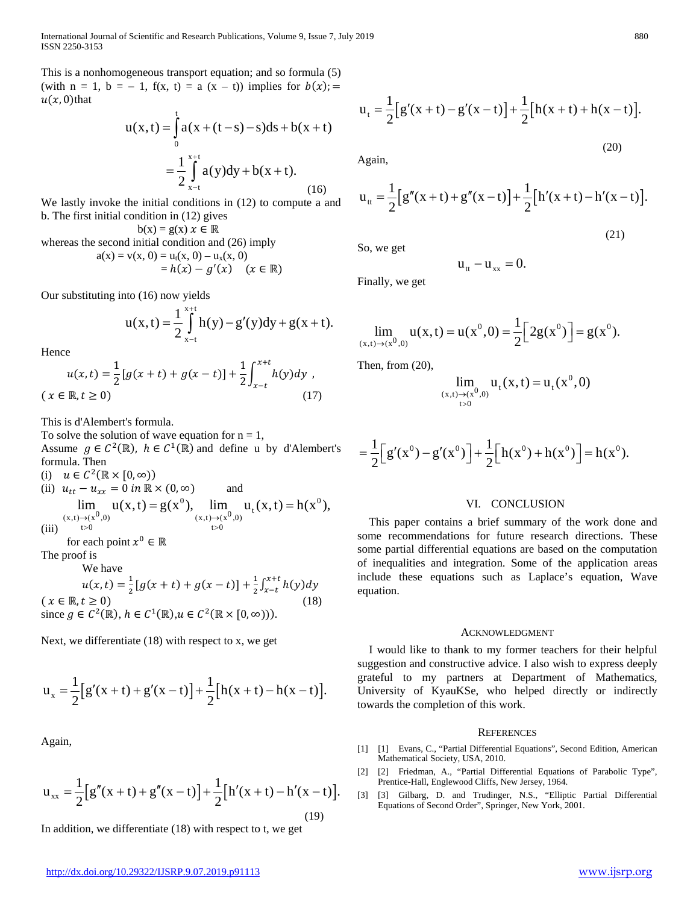This is a nonhomogeneous transport equation; and so formula (5) (with  $n = 1$ ,  $b = -1$ ,  $f(x, t) = a(x - t)$ ) implies for  $b(x) =$  $u(x, 0)$ that

$$
u(x,t) = \int_{0}^{t} a(x + (t-s) - s)ds + b(x + t)
$$
  
= 
$$
\frac{1}{2} \int_{x-t}^{x+t} a(y)dy + b(x + t).
$$
 (16)

We lastly invoke the initial conditions in (12) to compute a and b. The first initial condition in (12) gives

 $b(x) = g(x) x \in \mathbb{R}$ whereas the second initial condition and (26) imply  $a(x) = v(x, 0) = u_t(x, 0) - u_x(x, 0)$ 

$$
= h(x) - g'(x) \quad (x \in \mathbb{R})
$$

Our substituting into (16) now yields

$$
u(x,t) = \frac{1}{2} \int_{x-t}^{x+t} h(y) - g'(y) dy + g(x+t).
$$

Hence

$$
u(x,t) = \frac{1}{2} [g(x+t) + g(x-t)] + \frac{1}{2} \int_{x-t}^{x+t} h(y) dy ,
$$
  
(x \in \mathbb{R}, t \ge 0) (17)

This is d'Alembert's formula.

To solve the solution of wave equation for  $n = 1$ , Assume  $g \in C^2(\mathbb{R})$ ,  $h \in C^1(\mathbb{R})$  and define u by d'Alembert's formula. Then

(i)  $u \in C^2(\mathbb{R} \times [0, \infty))$ 

(ii) 
$$
u_{tt} - u_{xx} = 0
$$
 in  $\mathbb{R} \times (0, \infty)$  and  
\n
$$
\lim_{(x,t)\to(x^0,0)} u(x,t) = g(x^0), \lim_{(x,t)\to(x^0,0)} u_t(x,t) = h(x^0),
$$

 $(iii)$  $t > 0$   $t > 0$  $>0$  t  $>$ 

for each point 
$$
x^0 \in \mathbb{R}
$$

The proof is

We have

 $u(x,t) = \frac{1}{2} [g(x+t) + g(x-t)] + \frac{1}{2} \int_{x-t}^{x+t} h(y) dy$  $(x \in \mathbb{R}, t \ge 0)$  (18) since  $g \in C^2(\mathbb{R})$ ,  $h \in C^1(\mathbb{R})$ ,  $u \in C^2(\mathbb{R} \times [0, \infty))$ .

Next, we differentiate (18) with respect to x, we get

$$
u_x = \frac{1}{2} [g'(x+t) + g'(x-t)] + \frac{1}{2} [h(x+t) - h(x-t)].
$$

Again,

$$
u_{xx} = \frac{1}{2} [g''(x+t) + g''(x-t)] + \frac{1}{2} [h'(x+t) - h'(x-t)].
$$
\n(19)

In addition, we differentiate (18) with respect to t, we get

Again,

$$
u_{tt} = \frac{1}{2} [g''(x+t) + g''(x-t)] + \frac{1}{2} [h'(x+t) - h'(x-t)].
$$

So, we get

$$
u_{tt} - u_{xx} = 0.
$$

(21)

Finally, we get

$$
\lim_{(x,t)\to(x^0,0)} u(x,t) = u(x^0,0) = \frac{1}{2} \Big[ 2g(x^0) \Big] = g(x^0).
$$

Then, from (20),

$$
\lim_{\substack{(x,t)\to (x^0,0)\\t>0}} u_t(x,t) = u_t(x^0,0)
$$

$$
= \frac{1}{2} \Big[ g'(x^{0}) - g'(x^{0}) \Big] + \frac{1}{2} \Big[ h(x^{0}) + h(x^{0}) \Big] = h(x^{0}).
$$

#### VI. CONCLUSION

This paper contains a brief summary of the work done and some recommendations for future research directions. These some partial differential equations are based on the computation of inequalities and integration. Some of the application areas include these equations such as Laplace's equation, Wave equation.

# ACKNOWLEDGMENT

I would like to thank to my former teachers for their helpful suggestion and constructive advice. I also wish to express deeply grateful to my partners at Department of Mathematics, University of KyauKSe, who helped directly or indirectly towards the completion of this work.

#### **REFERENCES**

- [1] [1] Evans, C., "Partial Differential Equations", Second Edition, American Mathematical Society, USA, 2010.
- [2] [2] Friedman, A., "Partial Differential Equations of Parabolic Type", Prentice-Hall, Englewood Cliffs, New Jersey, 1964.
- [3] [3] Gilbarg, D. and Trudinger, N.S., "Elliptic Partial Differential Equations of Second Order", Springer, New York, 2001.